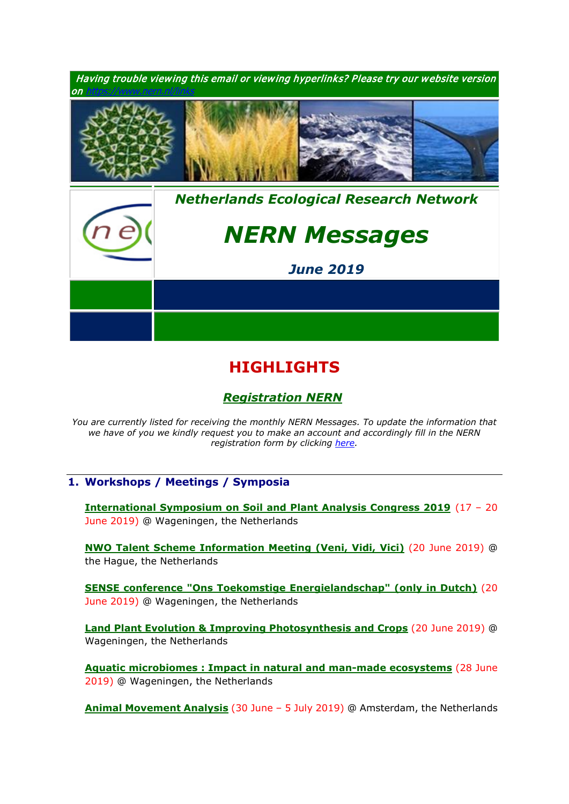

# **HIGHLIGHTS**

# *[Registration NERN](https://www.nern.nl/registration)*

*You are currently listed for receiving the monthly NERN Messages. To update the information that we have of you we kindly request you to make an account and accordingly fill in the NERN registration form by clicking [here.](https://www.nern.nl/register)*

# **1. Workshops / Meetings / Symposia**

**[International Symposium on Soil and Plant Analysis Congress 2019](https://www.isspa2019.com/)** (17 – 20 June 2019) @ Wageningen, the Netherlands

**[NWO Talent Scheme Information Meeting \(Veni, Vidi, Vici\)](https://www.nwo.nl/en/research-and-results/programmes/Talent+Scheme/information+meetings/talent+scheme+information+meeting)** (20 June 2019) @ the Hague, the Netherlands

**[SENSE conference "Ons Toekomstige Energielandschap"](http://www.sense.nl/news_events/events/10897605/SENSE-conferentie-Ons-Toekomstige-Energielandschap-Hoe-creeren-we-draagvlak-voor-de-zon-en-windenergietransitie-op-land) (only in Dutch)** (20 June 2019) @ Wageningen, the Netherlands

**[Land Plant Evolution & Improving Photosynthesis and Crops](https://www.pe-rc.nl/photosynthesis)** (20 June 2019) @ Wageningen, the Netherlands

**[Aquatic microbiomes : Impact in natural and man-made ecosystems](https://www.nern.nl/sites/default/files/CWE2019_Microbiome.pdf)** (28 June 2019) @ Wageningen, the Netherlands

**[Animal Movement Analysis](https://www.pe-rc.nl/postgraduate-courses/AMA)** (30 June – 5 July 2019) @ Amsterdam, the Netherlands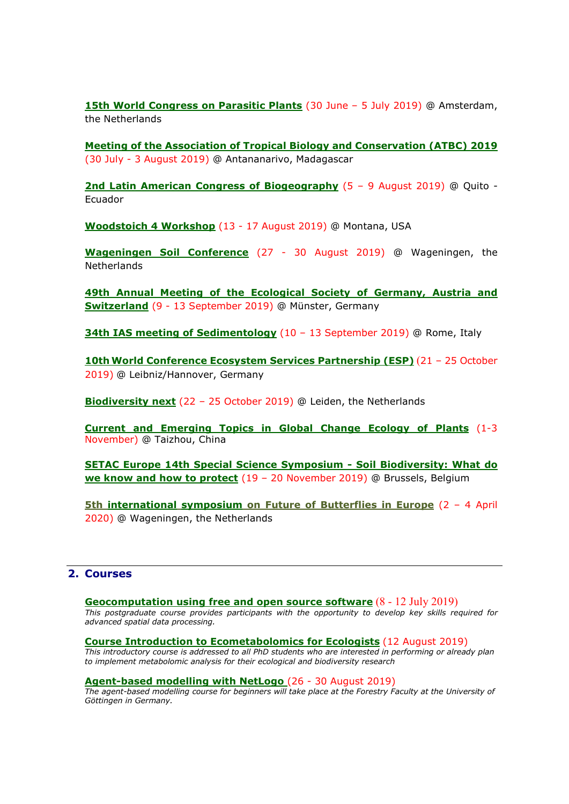**[15th World Congress on Parasitic Plants](https://www.wcpp2019.org/)** (30 June – 5 July 2019) @ Amsterdam, the Netherlands

**[Meeting of the Association of Tropical Biology and Conservation \(ATBC\) 2019](https://atbc2019.org/)** (30 July - 3 August 2019) @ Antananarivo, Madagascar

**[2nd Latin American Congress of Biogeography](https://humboldt250-ecuador.org/)** (5 – 9 August 2019) @ Quito - Ecuador

**[Woodstoich 4 Workshop](https://www.nern.nl/sites/default/files/Woodstoich4_Advertisement.pdf)** (13 - 17 August 2019) @ Montana, USA

**[Wageningen Soil Conference](https://wageningensoilconference.eu/2019)** (27 - 30 August 2019) @ Wageningen, the **Netherlands** 

**49th [Annual Meeting of the Ecological Society of Germany, Austria and](https://www.gfoe-conference.de/)  [Switzerland](https://www.gfoe-conference.de/)** (9 - 13 September 2019) @ Münster, Germany

**[34th IAS meeting of Sedimentology](http://iasroma2019.org/)** (10 - 13 September 2019) @ Rome, Italy

**10th [World Conference Ecosystem Services Partnership \(ESP\)](https://www.espconference.org/esp10)** (21 – 25 October 2019) @ Leibniz/Hannover, Germany

**[Biodiversity next](https://biodiversitynext.org/)** (22 – 25 October 2019) @ Leiden, the Netherlands

**[Current and Emerging Topics in Global Change Ecology of Plants](http://gcep.tzc.edu.cn/)** (1-3 November) @ Taizhou, China

**[SETAC Europe 14th Special Science Symposium -](https://sesss14.setac.org/) Soil Biodiversity: What do [we know and how to protect](https://sesss14.setac.org/)** (19 – 20 November 2019) @ Brussels, Belgium

**5th international symposium [on Future of Butterflies in Europe](https://www.vlinderstichting.nl/futureofbutterflies)** (2 – 4 April 2020) @ Wageningen, the Netherlands

## **2. Courses**

**[Geocomputation using free and open source software](https://www.pe-rc.nl/geocomputation)** (8 - 12 July 2019)

*This postgraduate course provides participants with the opportunity to develop key skills required for advanced spatial data processing.* 

#### **[Course Introduction to Ecometabolomics for Ecologists](https://www.nern.nl/sites/default/files/Invitation%20course%20Introduction%20Ecometabolomics.pdf)** (12 August 2019)

*This introductory course is addressed to all PhD students who are interested in performing or already plan to implement metabolomic analysis for their ecological and biodiversity research*

#### **[Agent-based modelling with NetLogo](http://www.uni-goettingen.de/en/578697.html)** (26 - 30 August 2019)

*The agent-based modelling course for beginners will take place at the Forestry Faculty at the University of Göttingen in Germany.*